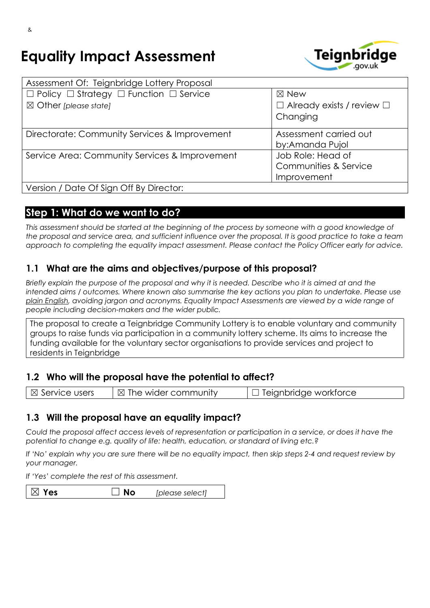# **Equality Impact Assessment**



| Assessment Of: Teignbridge Lottery Proposal                  |                                       |
|--------------------------------------------------------------|---------------------------------------|
| $\Box$ Policy $\Box$ Strategy $\Box$ Function $\Box$ Service | $\boxtimes$ New                       |
| $\boxtimes$ Other [please state]                             | $\Box$ Already exists / review $\Box$ |
|                                                              | Changing                              |
| Directorate: Community Services & Improvement                | Assessment carried out                |
|                                                              | by:Amanda Pujol                       |
| Service Area: Community Services & Improvement               | Job Role: Head of                     |
|                                                              | Communities & Service                 |
|                                                              | Improvement                           |
| Version / Date Of Sign Off By Director:                      |                                       |

## **Step 1: What do we want to do?**

This assessment should be started at the beginning of the process by someone with a good knowledge of the proposal and service area, and sufficient influence over the proposal. It is good practice to take a team *approach to completing the equality impact assessment. Please contact the Policy Officer early for advice.*

## **1.1 What are the aims and objectives/purpose of this proposal?**

Briefly explain the purpose of the proposal and why it is needed. Describe who it is aimed at and the *intended aims / outcomes. Where known also summarise the key actions you plan to undertake. Please use plain [English,](http://intranet.bcc.lan/ccm/cms-service/stream/asset/?asset_id=19824019) avoiding jargon and acronyms. Equality Impact Assessments are viewed by a wide range of people including decision-makers and the wider public.*

The proposal to create a Teignbridge Community Lottery is to enable voluntary and community groups to raise funds via participation in a community lottery scheme. Its aims to increase the funding available for the voluntary sector organisations to provide services and project to residents in Teignbridge

## **1.2 Who will the proposal have the potential to affect?**

| $\boxtimes$ Service users | $\vert$ $\boxtimes$ The wider community | $\Box$ Teignbridge workforce |
|---------------------------|-----------------------------------------|------------------------------|
|                           |                                         |                              |

## **1.3 Will the proposal have an equality impact?**

Could the proposal affect access levels of representation or participation in a service, or does it have the *potential to change e.g. quality of life: health, education, or standard of living etc.?*

If 'No' explain why you are sure there will be no equality impact, then skip steps 2-4 and request review by *your manager.*

*If 'Yes' complete the rest of this assessment.*

| $\mathbin{\vartriangle}$ Yes<br>$\Box$ No<br>[please select] |  |
|--------------------------------------------------------------|--|
|--------------------------------------------------------------|--|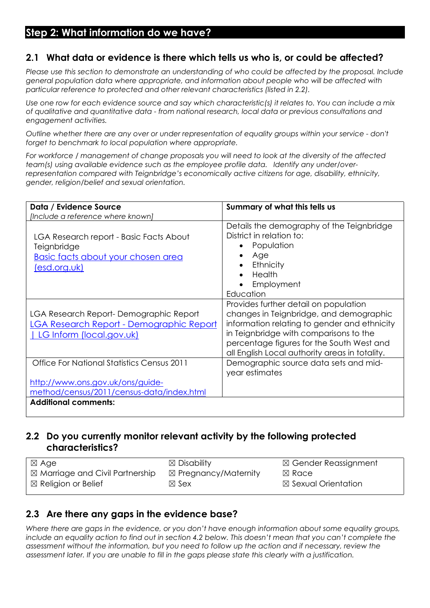## **Step 2: What information do we have?**

## **2.1 What data or evidence is there which tells us who is, or could be affected?**

*Please use this section to demonstrate an understanding of who could be affected by the proposal. Include general population data where appropriate, and information about people who will be affected with particular reference to protected and other relevant characteristics (listed in 2.2).*

Use one row for each evidence source and say which characteristic(s) it relates to. You can include a mix *of qualitative and quantitative data - from national research, local data or previous consultations and engagement activities.*

*Outline whether there are any over or under representation of equality groups within your service - don't forget to benchmark to local population where appropriate.*

For workforce / management of change proposals you will need to look at the diversity of the affected *team(s) using available evidence such as the employee profile data. Identify any under/overrepresentation compared with Teignbridge's economically active citizens for age, disability, ethnicity, gender, religion/belief and sexual orientation.*

| Data / Evidence Source                                                                                              | Summary of what this tells us                                                                                                                                                                                                                                             |
|---------------------------------------------------------------------------------------------------------------------|---------------------------------------------------------------------------------------------------------------------------------------------------------------------------------------------------------------------------------------------------------------------------|
| [Include a reference where known]                                                                                   |                                                                                                                                                                                                                                                                           |
| LGA Research report - Basic Facts About<br>Teignbridge<br><u>Basic facts about your chosen area</u><br>(esd.org.uk) | Details the demography of the Teignbridge<br>District in relation to:<br>Population<br>Age<br>Ethnicity<br>Health<br>Employment<br>Education                                                                                                                              |
| LGA Research Report-Demographic Report<br>LGA Research Report - Demographic Report<br>  LG Inform (local.gov.uk)    | Provides further detail on population<br>changes in Teignbridge, and demographic<br>information relating to gender and ethnicity<br>in Teignbridge with comparisons to the<br>percentage figures for the South West and<br>all English Local authority areas in totality. |
| Office For National Statistics Census 2011                                                                          | Demographic source data sets and mid-<br>year estimates                                                                                                                                                                                                                   |
| http://www.ons.gov.uk/ons/guide-<br>method/census/2011/census-data/index.html                                       |                                                                                                                                                                                                                                                                           |
| <b>Additional comments:</b>                                                                                         |                                                                                                                                                                                                                                                                           |

## **2.2 Do you currently monitor relevant activity by the following protected characteristics?**

| ⊠ Age                                      | $\boxtimes$ Disability          | $\boxtimes$ Gender Reassignment |
|--------------------------------------------|---------------------------------|---------------------------------|
| $\boxtimes$ Marriage and Civil Partnership | $\boxtimes$ Pregnancy/Maternity | $\boxtimes$ Race                |
| $\boxtimes$ Religion or Belief             | $\boxtimes$ Sex                 | $\boxtimes$ Sexual Orientation  |

## **2.3 Are there any gaps in the evidence base?**

*Where there are gaps in the evidence, or you don't have enough information about some equality groups,* include an equality action to find out in section 4.2 below. This doesn't mean that you can't complete the *assessment without the information, but you need to follow up the action and if necessary, review the* assessment later. If you are unable to fill in the gaps please state this clearly with a justification.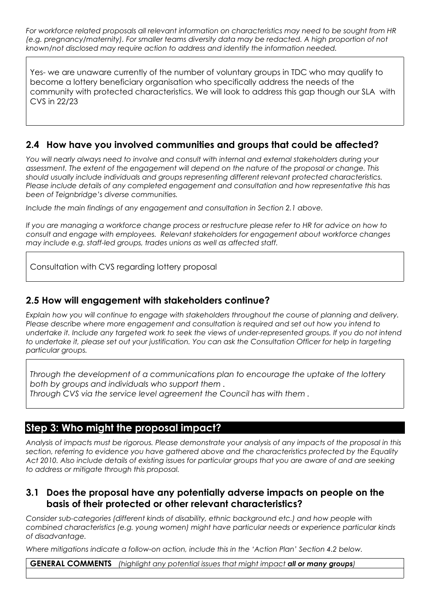*For workforce related proposals all relevant information on characteristics may need to be sought from HR (e.g. pregnancy/maternity). For smaller teams diversity data may be redacted. A high proportion of not known/not disclosed may require action to address and identify the information needed.*

Yes- we are unaware currently of the number of voluntary groups in TDC who may qualify to become a lottery beneficiary organisation who specifically address the needs of the community with protected characteristics. We will look to address this gap though our SLA with CVS in 22/23

## **2.4 How have you involved communities and groups that could be affected?**

*You will nearly always need to involve and consult with internal and external stakeholders during your assessment. The extent of the engagement will depend on the nature of the proposal or change. This should usually include individuals and groups representing different relevant protected characteristics. Please include details of any completed engagement and consultation and how representative this has been of Teignbridge's diverse communities.*

*Include the main findings of any engagement and consultation in Section 2.1 above.*

If you are managing a workforce change process or restructure please refer to HR for advice on how to *consult and engage with employees. Relevant stakeholders for engagement about workforce changes may include e.g. staff-led groups, trades unions as well as affected staff.*

Consultation with CVS regarding lottery proposal

#### **2.5 How will engagement with stakeholders continue?**

*Explain how you will continue to engage with stakeholders throughout the course of planning and delivery. Please describe where more engagement and consultation is required and set out how you intend to* undertake it. Include any targeted work to seek the views of under-represented groups. If you do not intend to undertake it, please set out your justification. You can ask the Consultation Officer for help in targeting *particular groups.*

*Through the development of a communications plan to encourage the uptake of the lottery both by groups and individuals who support them .*

*Through CVS via the service level agreement the Council has with them .*

## **Step 3: Who might the proposal impact?**

Analysis of impacts must be rigorous. Please demonstrate your analysis of any impacts of the proposal in this *section, referring to evidence you have gathered above and the characteristics protected by the Equality* Act 2010. Also include details of existing issues for particular groups that you are aware of and are seeking *to address or mitigate through this proposal.*

#### **3.1 Does the proposal have any potentially adverse impacts on people on the basis of their protected or other relevant characteristics?**

*Consider sub-categories (different kinds of disability, ethnic background etc.) and how people with combined characteristics (e.g. young women) might have particular needs or experience particular kinds of disadvantage.*

*Where mitigations indicate a follow-on action, include this in the 'Action Plan' Section 4.2 below.*

**GENERAL COMMENTS** *(highlight any potential issues that might impact all or many groups)*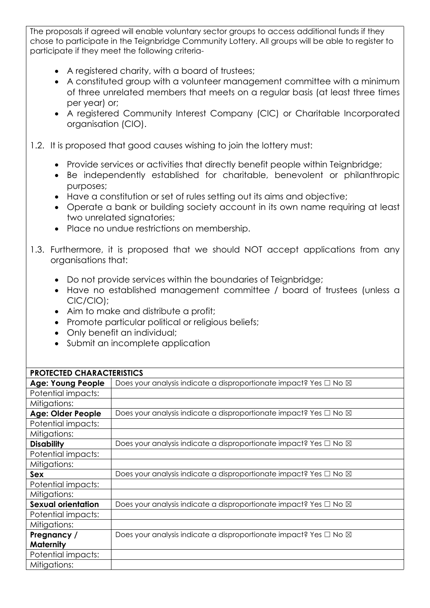The proposals if agreed will enable voluntary sector groups to access additional funds if they chose to participate in the Teignbridge Community Lottery. All groups will be able to register to participate if they meet the following criteria-

- A registered charity, with a board of trustees;
- A constituted group with a volunteer management committee with a minimum of three unrelated members that meets on a regular basis (at least three times per year) or;
- A registered Community Interest Company (CIC) or Charitable Incorporated organisation (CIO).
- 1.2. It is proposed that good causes wishing to join the lottery must:
	- Provide services or activities that directly benefit people within Teignbridge;
	- Be independently established for charitable, benevolent or philanthropic purposes;
	- Have a constitution or set of rules setting out its aims and objective;
	- Operate a bank or building society account in its own name requiring at least two unrelated signatories;
	- Place no undue restrictions on membership.
- 1.3. Furthermore, it is proposed that we should NOT accept applications from any organisations that:
	- Do not provide services within the boundaries of Teignbridge;
	- Have no established management committee / board of trustees (unless a CIC/CIO);
	- Aim to make and distribute a profit;
	- Promote particular political or religious beliefs;
	- Only benefit an individual;
	- Submit an incomplete application

| PROTECTED CHARACTERISTICS |                                                                                  |
|---------------------------|----------------------------------------------------------------------------------|
| <b>Age: Young People</b>  | Does your analysis indicate a disproportionate impact? Yes $\Box$ No $\boxtimes$ |
| Potential impacts:        |                                                                                  |
| Mitigations:              |                                                                                  |
| Age: Older People         | Does your analysis indicate a disproportionate impact? Yes $\Box$ No $\boxtimes$ |
| Potential impacts:        |                                                                                  |
| Mitigations:              |                                                                                  |
| <b>Disability</b>         | Does your analysis indicate a disproportionate impact? Yes $\Box$ No $\boxtimes$ |
| Potential impacts:        |                                                                                  |
| Mitigations:              |                                                                                  |
| Sex                       | Does your analysis indicate a disproportionate impact? Yes □ No 図                |
| Potential impacts:        |                                                                                  |
| Mitigations:              |                                                                                  |
| <b>Sexual orientation</b> | Does your analysis indicate a disproportionate impact? Yes $\Box$ No $\boxtimes$ |
| Potential impacts:        |                                                                                  |
| Mitigations:              |                                                                                  |
| Pregnancy /               | Does your analysis indicate a disproportionate impact? Yes $\Box$ No $\boxtimes$ |
| <b>Maternity</b>          |                                                                                  |
| Potential impacts:        |                                                                                  |
| Mitigations:              |                                                                                  |

#### **PROTECTED CHARACTERISTICS**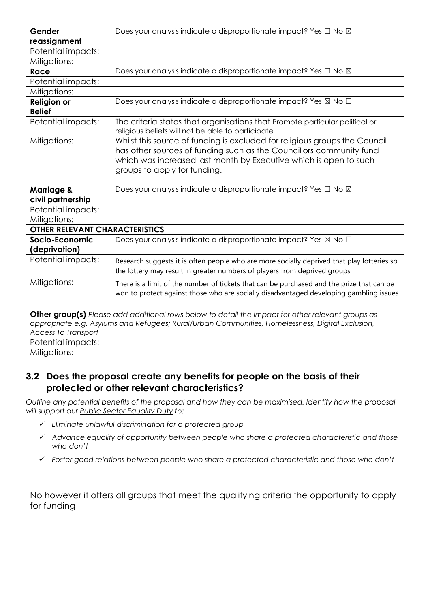| Gender                                     | Does your analysis indicate a disproportionate impact? Yes □ No ⊠                                                                                                                                                                                      |
|--------------------------------------------|--------------------------------------------------------------------------------------------------------------------------------------------------------------------------------------------------------------------------------------------------------|
| reassignment                               |                                                                                                                                                                                                                                                        |
| Potential impacts:                         |                                                                                                                                                                                                                                                        |
| Mitigations:                               |                                                                                                                                                                                                                                                        |
| <b>Race</b>                                | Does your analysis indicate a disproportionate impact? Yes □ No XI                                                                                                                                                                                     |
| Potential impacts:                         |                                                                                                                                                                                                                                                        |
| Mitigations:                               |                                                                                                                                                                                                                                                        |
| <b>Religion or</b><br><b>Belief</b>        | Does your analysis indicate a disproportionate impact? Yes ⊠ No □                                                                                                                                                                                      |
| Potential impacts:                         | The criteria states that organisations that Promote particular political or<br>religious beliefs will not be able to participate                                                                                                                       |
| Mitigations:                               | Whilst this source of funding is excluded for religious groups the Council<br>has other sources of funding such as the Councillors community fund<br>which was increased last month by Executive which is open to such<br>groups to apply for funding. |
| <b>Marriage &amp;</b><br>civil partnership | Does your analysis indicate a disproportionate impact? Yes □ No ⊠                                                                                                                                                                                      |
| Potential impacts:                         |                                                                                                                                                                                                                                                        |
| Mitigations:                               |                                                                                                                                                                                                                                                        |
| <b>OTHER RELEVANT CHARACTERISTICS</b>      |                                                                                                                                                                                                                                                        |
| Socio-Economic<br>(deprivation)            | Does your analysis indicate a disproportionate impact? Yes ⊠ No □                                                                                                                                                                                      |
| Potential impacts:                         | Research suggests it is often people who are more socially deprived that play lotteries so<br>the lottery may result in greater numbers of players from deprived groups                                                                                |
| Mitigations:                               | There is a limit of the number of tickets that can be purchased and the prize that can be<br>won to protect against those who are socially disadvantaged developing gambling issues                                                                    |
| <b>Access To Transport</b>                 | Other group(s) Please add additional rows below to detail the impact for other relevant groups as<br>appropriate e.g. Asylums and Refugees; Rural/Urban Communities, Homelessness, Digital Exclusion,                                                  |
| Potential impacts:                         |                                                                                                                                                                                                                                                        |
| Mitigations:                               |                                                                                                                                                                                                                                                        |

## **3.2 Does the proposal create any benefits for people on the basis of their protected or other relevant characteristics?**

*Outline any potential benefits of the proposal and how they can be maximised. Identify how the proposal will support our Public Sector [Equality](https://www.equalityhumanrights.com/en/advice-and-guidance/public-sector-equality-duty) Duty to:*

- *Eliminate unlawful discrimination for a protected group*
- *Advance equality of opportunity between people who share a protected characteristic and those who don't*
- *Foster good relations between people who share a protected characteristic and those who don't*

No however it offers all groups that meet the qualifying criteria the opportunity to apply for funding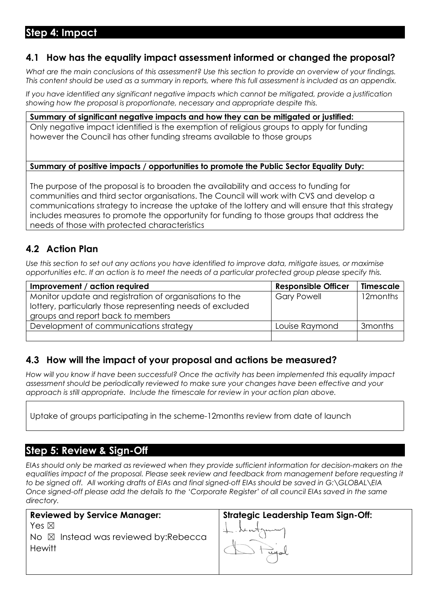# **Step 4: Impact**

## **4.1 How has the equality impact assessment informed or changed the proposal?**

What are the main conclusions of this assessment? Use this section to provide an overview of your findings. This content should be used as a summary in reports, where this full assessment is included as an appendix.

*If you have identified any significant negative impacts which cannot be mitigated, provide a justification showing how the proposal is proportionate, necessary and appropriate despite this.*

#### **Summary of significant negative impacts and how they can be mitigated or justified:**

Only negative impact identified is the exemption of religious groups to apply for funding however the Council has other funding streams available to those groups

#### **Summary of positive impacts / opportunities to promote the Public Sector Equality Duty:**

The purpose of the proposal is to broaden the availability and access to funding for communities and third sector organisations. The Council will work with CVS and develop a communications strategy to increase the uptake of the lottery and will ensure that this strategy includes measures to promote the opportunity for funding to those groups that address the needs of those with protected characteristics

## **4.2 Action Plan**

Use this section to set out any actions you have identified to improve data, mitigate issues, or maximise opportunities etc. If an action is to meet the needs of a particular protected group please specify this.

| Improvement / action required                              | <b>Responsible Officer</b> | <b>Timescale</b>    |
|------------------------------------------------------------|----------------------------|---------------------|
| Monitor update and registration of organisations to the    | <b>Gary Powell</b>         | 12months            |
| lottery, particularly those representing needs of excluded |                            |                     |
| groups and report back to members                          |                            |                     |
| Development of communications strategy                     | Louise Raymond             | 3 <sub>months</sub> |
|                                                            |                            |                     |

## **4.3 How will the impact of your proposal and actions be measured?**

*How will you know if have been successful? Once the activity has been implemented this equality impact assessment should be periodically reviewed to make sure your changes have been effective and your approach is still appropriate. Include the timescale for review in your action plan above.*

Uptake of groups participating in the scheme-12months review from date of launch

## **Step 5: Review & Sign-Off**

*EIAs should only be marked as reviewed when they provide sufficient information for decision-makers on the equalities impact of the proposal. Please seek review and feedback from management before requesting it to be signed off. All working drafts of EIAs and final signed-off EIAs should be saved in G:\GLOBAL\EIA*  Once signed-off please add the details to the 'Corporate Register' of all council EIAs saved in the same *directory.*

| <b>Reviewed by Service Manager:</b>             |  |
|-------------------------------------------------|--|
| Yes $\boxtimes$                                 |  |
| No $\boxtimes$ Instead was reviewed by: Rebecca |  |
| Hewitt                                          |  |
|                                                 |  |

Strategic Leadership Team Sign-Off:<br> **Leadership**<br> **Compared**